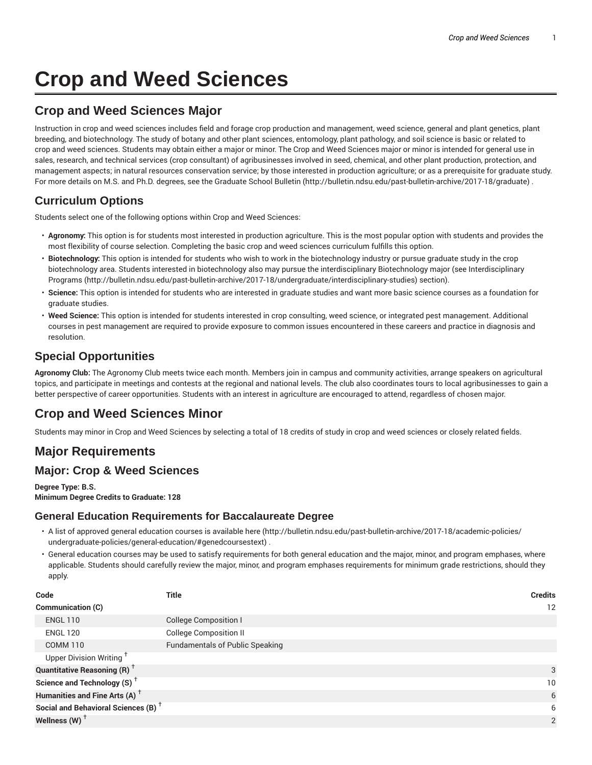# **Crop and Weed Sciences**

# **Crop and Weed Sciences Major**

Instruction in crop and weed sciences includes field and forage crop production and management, weed science, general and plant genetics, plant breeding, and biotechnology. The study of botany and other plant sciences, entomology, plant pathology, and soil science is basic or related to crop and weed sciences. Students may obtain either a major or minor. The Crop and Weed Sciences major or minor is intended for general use in sales, research, and technical services (crop consultant) of agribusinesses involved in seed, chemical, and other plant production, protection, and management aspects; in natural resources conservation service; by those interested in production agriculture; or as a prerequisite for graduate study. For more details on M.S. and Ph.D. degrees, see the Graduate School Bulletin (http://bulletin.ndsu.edu/past-bulletin-archive/2017-18/graduate) .

# **Curriculum Options**

Students select one of the following options within Crop and Weed Sciences:

- **Agronomy:** This option is for students most interested in production agriculture. This is the most popular option with students and provides the most flexibility of course selection. Completing the basic crop and weed sciences curriculum fulfills this option.
- **Biotechnology:** This option is intended for students who wish to work in the biotechnology industry or pursue graduate study in the crop biotechnology area. Students interested in biotechnology also may pursue the interdisciplinary Biotechnology major (see Interdisciplinary Programs (http://bulletin.ndsu.edu/past-bulletin-archive/2017-18/undergraduate/interdisciplinary-studies) section).
- **Science:** This option is intended for students who are interested in graduate studies and want more basic science courses as a foundation for graduate studies.
- **Weed Science:** This option is intended for students interested in crop consulting, weed science, or integrated pest management. Additional courses in pest management are required to provide exposure to common issues encountered in these careers and practice in diagnosis and resolution.

## **Special Opportunities**

**Agronomy Club:** The Agronomy Club meets twice each month. Members join in campus and community activities, arrange speakers on agricultural topics, and participate in meetings and contests at the regional and national levels. The club also coordinates tours to local agribusinesses to gain a better perspective of career opportunities. Students with an interest in agriculture are encouraged to attend, regardless of chosen major.

# **Crop and Weed Sciences Minor**

Students may minor in Crop and Weed Sciences by selecting a total of 18 credits of study in crop and weed sciences or closely related fields.

# **Major Requirements**

### **Major: Crop & Weed Sciences**

**Degree Type: B.S. Minimum Degree Credits to Graduate: 128**

### **General Education Requirements for Baccalaureate Degree**

- A list of approved general education courses is available here (http://bulletin.ndsu.edu/past-bulletin-archive/2017-18/academic-policies/ undergraduate-policies/general-education/#genedcoursestext) .
- General education courses may be used to satisfy requirements for both general education and the major, minor, and program emphases, where applicable. Students should carefully review the major, minor, and program emphases requirements for minimum grade restrictions, should they apply.

| Code                                            | <b>Title</b>                           | <b>Credits</b> |
|-------------------------------------------------|----------------------------------------|----------------|
| Communication (C)                               |                                        | 12             |
| <b>ENGL 110</b>                                 | <b>College Composition I</b>           |                |
| <b>ENGL 120</b>                                 | <b>College Composition II</b>          |                |
| <b>COMM 110</b>                                 | <b>Fundamentals of Public Speaking</b> |                |
| Upper Division Writing <sup>+</sup>             |                                        |                |
| <b>Quantitative Reasoning (R)</b> <sup>†</sup>  |                                        | 3              |
| Science and Technology (S) <sup>+</sup>         |                                        | $10^{\circ}$   |
| Humanities and Fine Arts (A) <sup>+</sup>       |                                        | 6              |
| Social and Behavioral Sciences (B) <sup>+</sup> |                                        | 6              |
| Wellness (W) $^{\dagger}$                       |                                        | 2              |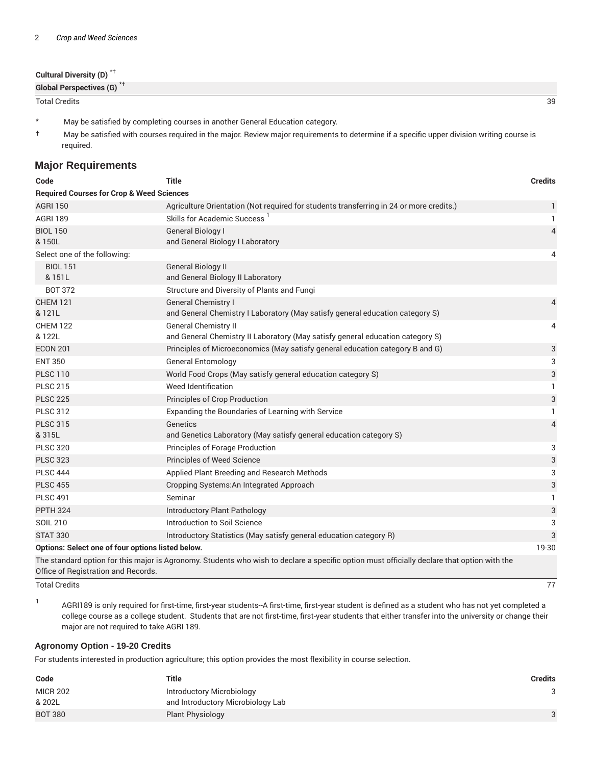| Cultural Diversity (D) <sup>*†</sup>  |    |
|---------------------------------------|----|
| Global Perspectives (G) <sup>*+</sup> |    |
| <b>Total Credits</b>                  | 39 |

- \* May be satisfied by completing courses in another General Education category.
- † May be satisfied with courses required in the major. Review major requirements to determine if a specific upper division writing course is required.

#### **Major Requirements**

| Code                                                       | <b>Title</b>                                                                                                                                | <b>Credits</b> |  |  |
|------------------------------------------------------------|---------------------------------------------------------------------------------------------------------------------------------------------|----------------|--|--|
| <b>Required Courses for Crop &amp; Weed Sciences</b>       |                                                                                                                                             |                |  |  |
| <b>AGRI 150</b>                                            | Agriculture Orientation (Not required for students transferring in 24 or more credits.)                                                     | $\mathbf{1}$   |  |  |
| <b>AGRI 189</b>                                            | Skills for Academic Success <sup>1</sup>                                                                                                    | 1.             |  |  |
| <b>BIOL 150</b><br>& 150L                                  | <b>General Biology I</b><br>and General Biology I Laboratory                                                                                | $\overline{4}$ |  |  |
| Select one of the following:                               |                                                                                                                                             | 4              |  |  |
| <b>BIOL 151</b><br>& 151L                                  | <b>General Biology II</b><br>and General Biology II Laboratory                                                                              |                |  |  |
| <b>BOT 372</b>                                             | Structure and Diversity of Plants and Fungi                                                                                                 |                |  |  |
| <b>CHEM 121</b><br>& 121L                                  | <b>General Chemistry I</b><br>and General Chemistry I Laboratory (May satisfy general education category S)                                 | 4              |  |  |
| <b>CHEM 122</b><br>& 122L                                  | <b>General Chemistry II</b><br>and General Chemistry II Laboratory (May satisfy general education category S)                               | 4              |  |  |
| <b>ECON 201</b>                                            | Principles of Microeconomics (May satisfy general education category B and G)                                                               | 3              |  |  |
| <b>ENT 350</b>                                             | <b>General Entomology</b>                                                                                                                   | 3              |  |  |
| <b>PLSC 110</b>                                            | World Food Crops (May satisfy general education category S)                                                                                 | 3              |  |  |
| <b>PLSC 215</b>                                            | Weed Identification                                                                                                                         | $\mathbf{1}$   |  |  |
| <b>PLSC 225</b>                                            | Principles of Crop Production                                                                                                               | 3              |  |  |
| <b>PLSC 312</b>                                            | Expanding the Boundaries of Learning with Service                                                                                           | $\mathbf{1}$   |  |  |
| <b>PLSC 315</b><br>& 315L                                  | Genetics<br>and Genetics Laboratory (May satisfy general education category S)                                                              | 4              |  |  |
| <b>PLSC 320</b>                                            | Principles of Forage Production                                                                                                             | 3              |  |  |
| <b>PLSC 323</b>                                            | Principles of Weed Science                                                                                                                  | 3              |  |  |
| <b>PLSC 444</b>                                            | Applied Plant Breeding and Research Methods                                                                                                 | 3              |  |  |
| <b>PLSC 455</b>                                            | Cropping Systems: An Integrated Approach                                                                                                    | 3              |  |  |
| <b>PLSC 491</b>                                            | Seminar                                                                                                                                     | 1              |  |  |
| <b>PPTH 324</b>                                            | Introductory Plant Pathology                                                                                                                | 3              |  |  |
| <b>SOIL 210</b>                                            | Introduction to Soil Science                                                                                                                | 3              |  |  |
| <b>STAT 330</b>                                            | Introductory Statistics (May satisfy general education category R)                                                                          | 3              |  |  |
| Options: Select one of four options listed below.<br>19-30 |                                                                                                                                             |                |  |  |
| Office of Registration and Records.                        | The standard option for this major is Agronomy. Students who wish to declare a specific option must officially declare that option with the |                |  |  |

Total Credits 77

1

AGRI189 is only required for first-time, first-year students--A first-time, first-year student is defined as a student who has not yet completed a college course as a college student. Students that are not first-time, first-year students that either transfer into the university or change their major are not required to take AGRI 189.

#### **Agronomy Option - 19-20 Credits**

For students interested in production agriculture; this option provides the most flexibility in course selection.

| Code            | Title                             | Credits |
|-----------------|-----------------------------------|---------|
| <b>MICR 202</b> | Introductory Microbiology         |         |
| & 202L          | and Introductory Microbiology Lab |         |
| <b>BOT 380</b>  | <b>Plant Physiology</b>           | 3       |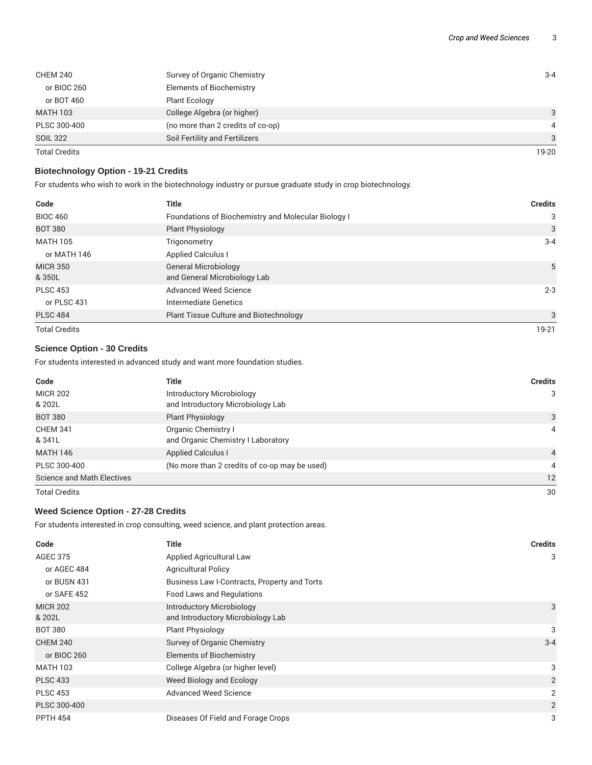| <b>CHEM 240</b>      | Survey of Organic Chemistry       | $3 - 4$ |
|----------------------|-----------------------------------|---------|
| or BIOC 260          | <b>Elements of Biochemistry</b>   |         |
| or BOT 460           | <b>Plant Ecology</b>              |         |
| <b>MATH 103</b>      | College Algebra (or higher)       | 3       |
| PLSC 300-400         | (no more than 2 credits of co-op) | 4       |
| <b>SOIL 322</b>      | Soil Fertility and Fertilizers    | 3       |
| <b>Total Credits</b> |                                   | 19-20   |

#### **Biotechnology Option - 19-21 Credits**

For students who wish to work in the biotechnology industry or pursue graduate study in crop biotechnology.

| Code                      | <b>Title</b>                                                | <b>Credits</b> |
|---------------------------|-------------------------------------------------------------|----------------|
| <b>BIOC 460</b>           | Foundations of Biochemistry and Molecular Biology I         | 3              |
| <b>BOT 380</b>            | <b>Plant Physiology</b>                                     | 3              |
| <b>MATH 105</b>           | Trigonometry                                                | $3 - 4$        |
| or MATH 146               | <b>Applied Calculus I</b>                                   |                |
| <b>MICR 350</b><br>& 350L | <b>General Microbiology</b><br>and General Microbiology Lab | 5              |
| <b>PLSC 453</b>           | Advanced Weed Science                                       | $2 - 3$        |
| or PLSC 431               | Intermediate Genetics                                       |                |
| <b>PLSC 484</b>           | Plant Tissue Culture and Biotechnology                      | 3              |
| <b>Total Credits</b>      |                                                             | 19-21          |

### **Science Option - 30 Credits**

For students interested in advanced study and want more foundation studies.

| Code                              | <b>Title</b>                                  | <b>Credits</b> |
|-----------------------------------|-----------------------------------------------|----------------|
| <b>MICR 202</b>                   | Introductory Microbiology                     | 3              |
| & 202L                            | and Introductory Microbiology Lab             |                |
| <b>BOT 380</b>                    | <b>Plant Physiology</b>                       | 3              |
| <b>CHEM 341</b>                   | Organic Chemistry I                           | 4              |
| & 341L                            | and Organic Chemistry I Laboratory            |                |
| <b>MATH 146</b>                   | <b>Applied Calculus I</b>                     | $\overline{4}$ |
| PLSC 300-400                      | (No more than 2 credits of co-op may be used) | $\overline{4}$ |
| <b>Science and Math Electives</b> |                                               | 12             |
| <b>Total Credits</b>              |                                               | 30             |

#### **Weed Science Option - 27-28 Credits**

For students interested in crop consulting, weed science, and plant protection areas.

| Code                      | <b>Title</b>                                                          | <b>Credits</b> |
|---------------------------|-----------------------------------------------------------------------|----------------|
| <b>AGEC 375</b>           | <b>Applied Agricultural Law</b>                                       | 3              |
| or AGEC 484               | <b>Agricultural Policy</b>                                            |                |
| or BUSN 431               | Business Law I-Contracts, Property and Torts                          |                |
| or SAFE 452               | <b>Food Laws and Regulations</b>                                      |                |
| <b>MICR 202</b><br>& 202L | <b>Introductory Microbiology</b><br>and Introductory Microbiology Lab | 3              |
| <b>BOT 380</b>            | <b>Plant Physiology</b>                                               | 3              |
| <b>CHEM 240</b>           | Survey of Organic Chemistry                                           | $3 - 4$        |
| or BIOC 260               | <b>Elements of Biochemistry</b>                                       |                |
| <b>MATH 103</b>           | College Algebra (or higher level)                                     | 3              |
| <b>PLSC 433</b>           | Weed Biology and Ecology                                              | $\overline{2}$ |
| <b>PLSC 453</b>           | <b>Advanced Weed Science</b>                                          | 2              |
| PLSC 300-400              |                                                                       | 2              |
| <b>PPTH 454</b>           | Diseases Of Field and Forage Crops                                    | 3              |